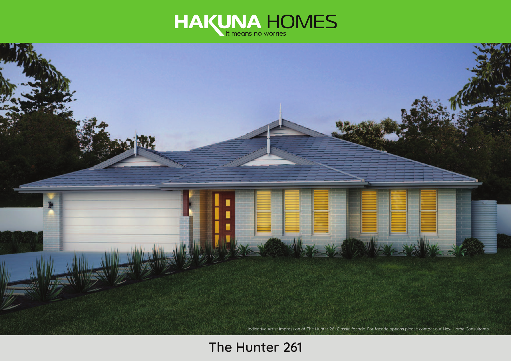



# **The Hunter 261**